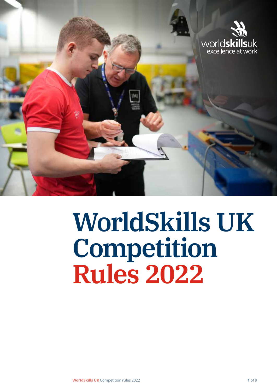

# **WorldSkills UK Competition Rules 2022**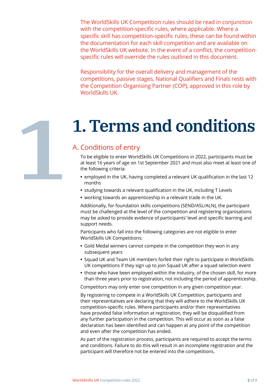The WorldSkills UK Competition rules should be read in conjunction with the competition-specific rules, where applicable. Where a specific skill has competition-specific rules, these can be found within the documentation for each skill competition and are available on the WorldSkills UK website. In the event of a conflict, the competitionspecific rules will override the rules outlined in this document.

Responsibility for the overall delivery and management of the competitions, passive stages, National Qualifiers and Finals rests with the Competition Organising Partner (COP), approved in this role by WorldSkills UK.

# **1.Terms and conditions**

# A. Conditions of entry

**1**

To be eligible to enter WorldSkills UK Competitions in 2022, participants must be at least 16 years of age on 1st September 2021 and must also meet at least one of the following criteria:

- **•** employed in the UK, having completed a relevant UK qualification in the last 12 months
- **•** studying towards a relevant qualification in the UK, including T Levels
- **•** working towards an apprenticeship in a relevant trade in the UK.

Additionally, for foundation skills competitions (SEND/ASL/ALN), the participant must be challenged at the level of the competition and registering organisations may be asked to provide evidence of participants' level and specific learning and support needs.

Participants who fall into the following categories are not eligible to enter WorldSkills UK Competitions:

- **•** Gold Medal winners cannot compete in the competition they won in any subsequent years
- **•** Squad UK and Team UK members forfeit their right to participate in WorldSkills UK competitions if they sign up to join Squad UK after a squad selection event
- **•** those who have been employed within the industry, of the chosen skill, for more than three years prior to registration, not including the period of apprenticeship.

Competitors may only enter one competition in any given competition year.

By registering to compete in a WorldSkills UK Competition, participants and their representatives are declaring that they will adhere to the WorldSkills UK competition-specific rules. Where participants and/or their representatives have provided false information at registration, they will be disqualified from any further participation in the competition. This will occur as soon as a false declaration has been identified and can happen at any point of the competition and even after the competition has ended.

As part of the registration process, participants are required to accept the terms and conditions. Failure to do this will result in an incomplete registration and the participant will therefore not be entered into the competitions.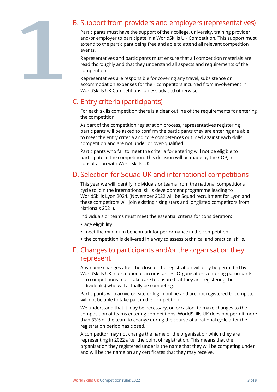

# B. Support from providers and employers (representatives)

Participants must have the support of their college, university, training provider and/or employer to participate in a WorldSkills UK Competition. This support must extend to the participant being free and able to attend all relevant competition events.

Representatives and participants must ensure that all competition materials are read thoroughly and that they understand all aspects and requirements of the competition.

Representatives are responsible for covering any travel, subsistence or accommodation expenses for their competitors incurred from involvement in WorldSkills UK Competitions, unless advised otherwise.

# C. Entry criteria (participants)

For each skills competition there is a clear outline of the requirements for entering the competition.

As part of the competition registration process, representatives registering participants will be asked to confirm the participants they are entering are able to meet the entry criteria and core competences outlined against each skills competition and are not under or over-qualified.

Participants who fail to meet the criteria for entering will not be eligible to participate in the competition. This decision will be made by the COP, in consultation with WorldSkills UK.

# D. Selection for Squad UK and international competitions

This year we will identify individuals or teams from the national competitions cycle to join the international skills development programme leading to WorldSkills Lyon 2024. (November 2022 will be Squad recruitment for Lyon and these competitors will join existing rising stars and longlisted competitors from Nationals 2021).

Individuals or teams must meet the essential criteria for consideration:

- **•** age eligibility
- **•** meet the minimum benchmark for performance in the competition
- **•** the competition is delivered in a way to assess technical and practical skills.

# E. Changes to participants and/or the organisation they represent

Any name changes after the close of the registration will only be permitted by WorldSkills UK in exceptional circumstances. Organisations entering participants into competitions must take care to ensure that they are registering the individual(s) who will actually be competing.

Participants who arrive on-site or log in online and are not registered to compete will not be able to take part in the competition.

We understand that it may be necessary, on occasion, to make changes to the composition of teams entering competitions. WorldSkills UK does not permit more than 33% of the team to change during the course of a national cycle after the registration period has closed.

A competitor may not change the name of the organisation which they are representing in 2022 after the point of registration. This means that the organisation they registered under is the name that they will be competing under and will be the name on any certificates that they may receive.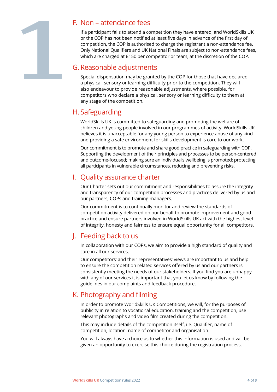**1**

### F. Non – attendance fees

If a participant fails to attend a competition they have entered, and WorldSkills UK or the COP has not been notified at least five days in advance of the first day of competition, the COP is authorised to charge the registrant a non-attendance fee. Only National Qualifiers and UK National Finals are subject to non-attendance fees, which are charged at £150 per competitor or team, at the discretion of the COP.

### G.Reasonable adjustments

Special dispensation may be granted by the COP for those that have declared a physical, sensory or learning difficulty prior to the competition. They will also endeavour to provide reasonable adjustments, where possible, for competitors who declare a physical, sensory or learning difficulty to them at any stage of the competition.

# H. Safeguarding

WorldSkills UK is committed to safeguarding and promoting the welfare of children and young people involved in our programmes of activity. WorldSkills UK believes it is unacceptable for any young person to experience abuse of any kind and providing a safe environment for skills development is core to our work.

Our commitment is to promote and share good practice in safeguarding with COP. Supporting the development of their principles and processes to be person-centered and outcome-focused; making sure an individual's wellbeing is promoted; protecting all participants in vulnerable circumstances, reducing and preventing risks.

# I. Quality assurance charter

Our Charter sets out our commitment and responsibilities to assure the integrity and transparency of our competition processes and practices delivered by us and our partners, COPs and training managers.

Our commitment is to continually monitor and review the standards of competition activity delivered on our behalf to promote improvement and good practice and ensure partners involved in WorldSkills UK act with the highest level of integrity, honesty and fairness to ensure equal opportunity for all competitors.

# J. Feeding back to us

In collaboration with our COPs, we aim to provide a high standard of quality and care in all our services.

Our competitors' and their representatives' views are important to us and help to ensure the competition related services offered by us and our partners is consistently meeting the needs of our stakeholders. If you find you are unhappy with any of our services it is important that you let us know by following the guidelines in our complaints and feedback procedure.

# K. Photography and filming

In order to promote WorldSkills UK Competitions, we will, for the purposes of publicity in relation to vocational education, training and the competition, use relevant photographs and video film created during the competition.

This may include details of the competition itself, i.e. Qualifier, name of competition, location, name of competitor and organisation.

You will always have a choice as to whether this information is used and will be given an opportunity to exercise this choice during the registration process.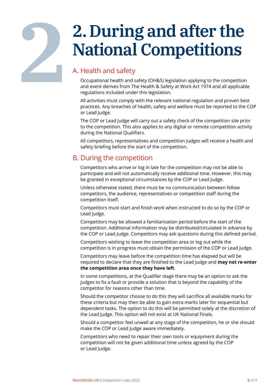# **2.During and after the National Competitions**

# A. Health and safety

**2**

Occupational health and safety (OH&S) legislation applying to the competition and event derives from The Health & Safety at Work Act 1974 and all applicable regulations included under this legislation.

All activities must comply with the relevant national regulation and proven best practices. Any breaches of health, safety and welfare must be reported to the COP or Lead Judge.

The COP or Lead Judge will carry out a safety check of the competition site prior to the competition. This also applies to any digital or remote competition activity during the National Qualifiers.

All competitors, representatives and competition Judges will receive a health and safety briefing before the start of the competition.

# B. During the competition

Competitors who arrive or log in late for the competition may not be able to participate and will not automatically receive additional time. However, this may be granted in exceptional circumstances by the COP or Lead Judge.

Unless otherwise stated, there must be no communication between fellow competitors, the audience, representatives or competition staff during the competition itself.

Competitors must start and finish work when instructed to do so by the COP or Lead Judge.

Competitors may be allowed a familiarisation period before the start of the competition. Additional information may be distributed/circulated in advance by the COP or Lead Judge. Competitors may ask questions during this defined period.

Competitors wishing to leave the competition area or log out while the competition is in progress must obtain the permission of the COP or Lead Judge.

Competitors may leave before the competition time has elapsed but will be required to declare that they are finished to the Lead Judge and **may not re-enter the competition area once they have left**.

In some competitions, at the Qualifier stage there may be an option to ask the judges to fix a fault or provide a solution that is beyond the capability of the competitor for reasons other than time.

Should the competitor choose to do this they will sacrifice all available marks for these criteria but may then be able to gain extra marks later for sequential but dependent tasks. The option to do this will be permitted solely at the discretion of the Lead Judge. This option will not exist at UK National Finals.

Should a competitor feel unwell at any stage of the competition, he or she should make the COP or Lead Judge aware immediately.

Competitors who need to repair their own tools or equipment during the competition will not be given additional time unless agreed by the COP or Lead Judge.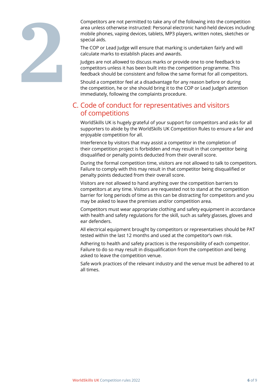

Competitors are not permitted to take any of the following into the competition area unless otherwise instructed: Personal electronic hand-held devices including mobile phones, vaping devices, tablets, MP3 players, written notes, sketches or special aids.

The COP or Lead Judge will ensure that marking is undertaken fairly and will calculate marks to establish places and awards.

Judges are not allowed to discuss marks or provide one to one feedback to competitors unless it has been built into the competition programme. This feedback should be consistent and follow the same format for all competitors.

Should a competitor feel at a disadvantage for any reason before or during the competition, he or she should bring it to the COP or Lead Judge's attention immediately, following the complaints procedure.

### C. Code of conduct for representatives and visitors of competitions

WorldSkills UK is hugely grateful of your support for competitors and asks for all supporters to abide by the WorldSkills UK Competition Rules to ensure a fair and enjoyable competition for all.

Interference by visitors that may assist a competitor in the completion of their competition project is forbidden and may result in that competitor being disqualified or penalty points deducted from their overall score.

During the formal competition time, visitors are not allowed to talk to competitors. Failure to comply with this may result in that competitor being disqualified or penalty points deducted from their overall score.

Visitors are not allowed to hand anything over the competition barriers to competitors at any time. Visitors are requested not to stand at the competition barrier for long periods of time as this can be distracting for competitors and you may be asked to leave the premises and/or competition area.

Competitors must wear appropriate clothing and safety equipment in accordance with health and safety regulations for the skill, such as safety glasses, gloves and ear defenders.

All electrical equipment brought by competitors or representatives should be PAT tested within the last 12 months and used at the competitor's own risk.

Adhering to health and safety practices is the responsibility of each competitor. Failure to do so may result in disqualification from the competition and being asked to leave the competition venue.

Safe work practices of the relevant industry and the venue must be adhered to at all times.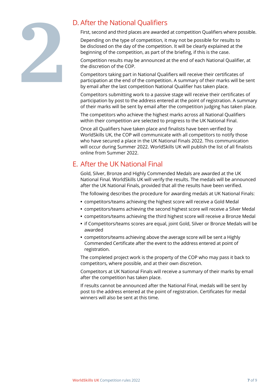

# D. After the National Qualifiers

First, second and third places are awarded at competition Qualifiers where possible.

Depending on the type of competition, it may not be possible for results to be disclosed on the day of the competition. It will be clearly explained at the beginning of the competition, as part of the briefing, if this is the case.

Competition results may be announced at the end of each National Qualifier, at the discretion of the COP.

Competitors taking part in National Qualifiers will receive their certificates of participation at the end of the competition. A summary of their marks will be sent by email after the last competition National Qualifier has taken place.

Competitors submitting work to a passive stage will receive their certificates of participation by post to the address entered at the point of registration. A summary of their marks will be sent by email after the competition judging has taken place.

The competitors who achieve the highest marks across all National Qualifiers within their competition are selected to progress to the UK National Final.

Once all Qualifiers have taken place and finalists have been verified by WorldSkills UK, the COP will communicate with all competitors to notify those who have secured a place in the UK National Finals 2022. This communication will occur during Summer 2022. WorldSkills UK will publish the list of all finalists online from Summer 2022.

# E. After the UK National Final

Gold, Silver, Bronze and Highly Commended Medals are awarded at the UK National Final. WorldSkills UK will verify the results. The medals will be announced after the UK National Finals, provided that all the results have been verified.

The following describes the procedure for awarding medals at UK National Finals:

- **•** competitors/teams achieving the highest score will receive a Gold Medal
- **•** competitors/teams achieving the second highest score will receive a Silver Medal
- **•** competitors/teams achieving the third highest score will receive a Bronze Medal
- **•** if Competitors/teams scores are equal, joint Gold, Silver or Bronze Medals will be awarded
- **•** competitors/teams achieving above the average score will be sent a Highly Commended Certificate after the event to the address entered at point of registration.

The completed project work is the property of the COP who may pass it back to competitors, where possible, and at their own discretion.

Competitors at UK National Finals will receive a summary of their marks by email after the competition has taken place.

If results cannot be announced after the National Final, medals will be sent by post to the address entered at the point of registration. Certificates for medal winners will also be sent at this time.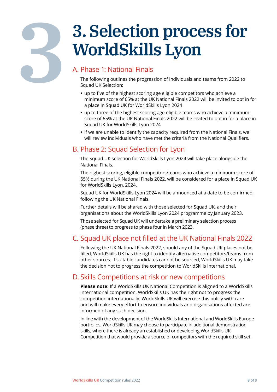# **3**

# **3. Selection process for WorldSkills Lyon**

# A. Phase 1: National Finals

The following outlines the progression of individuals and teams from 2022 to Squad UK Selection:

- **•** up to five of the highest scoring age eligible competitors who achieve a minimum score of 65% at the UK National Finals 2022 will be invited to opt in for a place in Squad UK for WorldSkills Lyon 2024
- **•** up to three of the highest scoring age-eligible teams who achieve a minimum score of 65% at the UK National Finals 2022 will be invited to opt in for a place in Squad UK for WorldSkills Lyon 2024
- **•** if we are unable to identify the capacity required from the National Finals, we will review individuals who have met the criteria from the National Qualifiers.

# B. Phase 2: Squad Selection for Lyon

The Squad UK selection for WorldSkills Lyon 2024 will take place alongside the National Finals.

The highest scoring, eligible competitors/teams who achieve a minimum score of 65% during the UK National Finals 2022, will be considered for a place in Squad UK for WorldSkills Lyon, 2024.

Squad UK for WorldSkills Lyon 2024 will be announced at a date to be confirmed, following the UK National Finals.

Further details will be shared with those selected for Squad UK, and their organisations about the WorldSkills Lyon 2024 programme by January 2023.

Those selected for Squad UK will undertake a preliminary selection process (phase three) to progress to phase four in March 2023.

# C. Squad UK place not filled at the UK National Finals 2022

Following the UK National Finals 2022, should any of the Squad UK places not be filled, WorldSkills UK has the right to identify alternative competitors/teams from other sources. If suitable candidates cannot be sourced, WorldSkills UK may take the decision not to progress the competition to WorldSkills International.

# D. Skills Competitions at risk or new competitions

**Please note:** If a WorldSkills UK National Competition is aligned to a WorldSkills international competition, WorldSkills UK has the right not to progress the competition internationally. WorldSkills UK will exercise this policy with care and will make every effort to ensure individuals and organisations affected are informed of any such decision.

In line with the development of the WorldSkills International and WorldSkills Europe portfolios, WorldSkills UK may choose to participate in additional demonstration skills, where there is already an established or developing WorldSkills UK Competition that would provide a source of competitors with the required skill set.